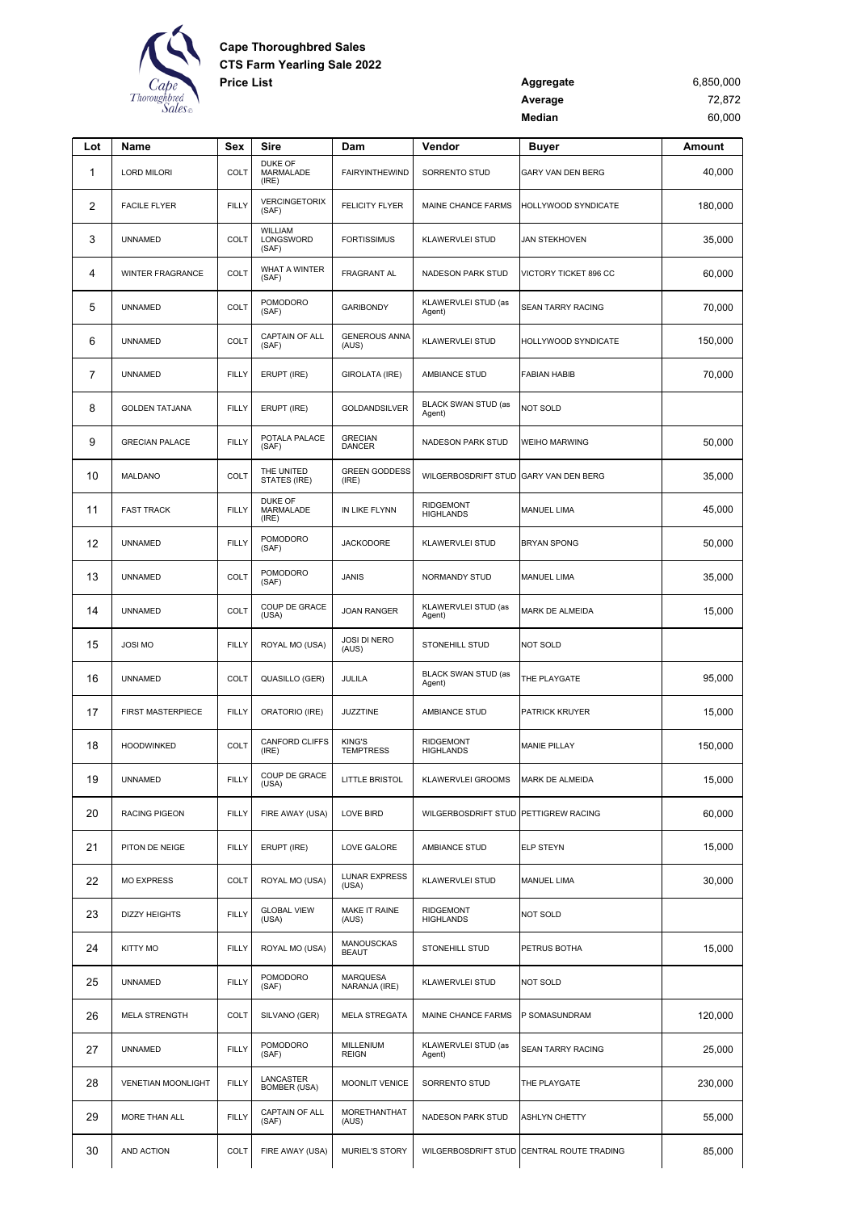

| <b>Price List</b> | Aggregate | 6,850,000 |
|-------------------|-----------|-----------|
|                   | Average   | 72,872    |
|                   | Median    | 60.000    |

| Lot            | Name                      | Sex          | Sire                                 | Dam                               | Vendor                               | <b>Buyer</b>                              | Amount  |
|----------------|---------------------------|--------------|--------------------------------------|-----------------------------------|--------------------------------------|-------------------------------------------|---------|
| 1              | <b>LORD MILORI</b>        | COLT         | <b>DUKE OF</b><br>MARMALADE<br>(IRE) | <b>FAIRYINTHEWIND</b>             | SORRENTO STUD                        | GARY VAN DEN BERG                         | 40,000  |
| $\overline{2}$ | <b>FACILE FLYER</b>       | <b>FILLY</b> | <b>VERCINGETORIX</b><br>(SAF)        | <b>FELICITY FLYER</b>             | MAINE CHANCE FARMS                   | HOLLYWOOD SYNDICATE                       | 180,000 |
| 3              | <b>UNNAMED</b>            | COLT         | WILLIAM<br>LONGSWORD<br>(SAF)        | <b>FORTISSIMUS</b>                | KLAWERVLEI STUD                      | <b>JAN STEKHOVEN</b>                      | 35,000  |
| 4              | <b>WINTER FRAGRANCE</b>   | COLT         | WHAT A WINTER<br>(SAF)               | <b>FRAGRANT AL</b>                | NADESON PARK STUD                    | VICTORY TICKET 896 CC                     | 60,000  |
| 5              | <b>UNNAMED</b>            | COLT         | POMODORO<br>(SAF)                    | <b>GARIBONDY</b>                  | KLAWERVLEI STUD (as<br>Agent)        | SEAN TARRY RACING                         | 70,000  |
| 6              | <b>UNNAMED</b>            | COLT         | CAPTAIN OF ALL<br>(SAF)              | <b>GENEROUS ANNA</b><br>(AUS)     | <b>KLAWERVLEI STUD</b>               | HOLLYWOOD SYNDICATE                       | 150,000 |
| 7              | <b>UNNAMED</b>            | <b>FILLY</b> | ERUPT (IRE)                          | GIROLATA (IRE)                    | AMBIANCE STUD                        | <b>FABIAN HABIB</b>                       | 70,000  |
| 8              | <b>GOLDEN TATJANA</b>     | <b>FILLY</b> | ERUPT (IRE)                          | GOLDANDSILVER                     | BLACK SWAN STUD (as<br>Agent)        | NOT SOLD                                  |         |
| 9              | <b>GRECIAN PALACE</b>     | <b>FILLY</b> | POTALA PALACE<br>(SAF)               | <b>GRECIAN</b><br><b>DANCER</b>   | NADESON PARK STUD                    | WEIHO MARWING                             | 50,000  |
| 10             | MALDANO                   | COLT         | THE UNITED<br>STATES (IRE)           | <b>GREEN GODDESS</b><br>(IRE)     | WILGERBOSDRIFT STUD                  | GARY VAN DEN BERG                         | 35,000  |
| 11             | <b>FAST TRACK</b>         | <b>FILLY</b> | DUKE OF<br>MARMALADE<br>(IRE)        | IN LIKE FLYNN                     | <b>RIDGEMONT</b><br><b>HIGHLANDS</b> | <b>MANUEL LIMA</b>                        | 45,000  |
| 12             | <b>UNNAMED</b>            | <b>FILLY</b> | <b>POMODORO</b><br>(SAF)             | <b>JACKODORE</b>                  | <b>KLAWERVLEI STUD</b>               | <b>BRYAN SPONG</b>                        | 50,000  |
| 13             | <b>UNNAMED</b>            | COLT         | <b>POMODORO</b><br>(SAF)             | <b>JANIS</b>                      | NORMANDY STUD                        | <b>MANUEL LIMA</b>                        | 35,000  |
| 14             | <b>UNNAMED</b>            | COLT         | COUP DE GRACE<br>(USA)               | <b>JOAN RANGER</b>                | KLAWERVLEI STUD (as<br>Agent)        | MARK DE ALMEIDA                           | 15,000  |
| 15             | <b>JOSI MO</b>            | <b>FILLY</b> | ROYAL MO (USA)                       | <b>JOSI DI NERO</b><br>(AUS)      | <b>STONEHILL STUD</b>                | <b>NOT SOLD</b>                           |         |
| 16             | <b>UNNAMED</b>            | COLT         | QUASILLO (GER)                       | JULILA                            | <b>BLACK SWAN STUD (as</b><br>Agent) | THE PLAYGATE                              | 95,000  |
| 17             | FIRST MASTERPIECE         | <b>FILLY</b> | ORATORIO (IRE)                       | <b>JUZZTINE</b>                   | AMBIANCE STUD                        | PATRICK KRUYER                            | 15,000  |
| 18             | <b>HOODWINKED</b>         | COLT         | CANFORD CLIFFS<br>(IRE)              | <b>KING'S</b><br><b>TEMPTRESS</b> | <b>RIDGEMONT</b><br><b>HIGHLANDS</b> | <b>MANIE PILLAY</b>                       | 150,000 |
| 19             | <b>UNNAMED</b>            | <b>FILLY</b> | COUP DE GRACE<br>(USA)               | <b>LITTLE BRISTOL</b>             | KLAWERVLEI GROOMS MARK DE ALMEIDA    |                                           | 15,000  |
| 20             | <b>RACING PIGEON</b>      | <b>FILLY</b> | FIRE AWAY (USA)                      | LOVE BIRD                         | WILGERBOSDRIFT STUD PETTIGREW RACING |                                           | 60,000  |
| 21             | PITON DE NEIGE            | <b>FILLY</b> | ERUPT (IRE)                          | LOVE GALORE                       | AMBIANCE STUD                        | ELP STEYN                                 | 15,000  |
| 22             | <b>MO EXPRESS</b>         | COLT         | ROYAL MO (USA)                       | <b>LUNAR EXPRESS</b><br>(USA)     | <b>KLAWERVLEI STUD</b>               | MANUEL LIMA                               | 30,000  |
| 23             | <b>DIZZY HEIGHTS</b>      | <b>FILLY</b> | <b>GLOBAL VIEW</b><br>(USA)          | MAKE IT RAINE<br>(AUS)            | <b>RIDGEMONT</b><br><b>HIGHLANDS</b> | NOT SOLD                                  |         |
| 24             | <b>KITTY MO</b>           | <b>FILLY</b> | ROYAL MO (USA)                       | <b>MANOUSCKAS</b><br><b>BEAUT</b> | <b>STONEHILL STUD</b>                | PETRUS BOTHA                              | 15,000  |
| 25             | <b>UNNAMED</b>            | <b>FILLY</b> | POMODORO<br>(SAF)                    | <b>MARQUESA</b><br>NARANJA (IRE)  | <b>KLAWERVLEI STUD</b>               | NOT SOLD                                  |         |
| 26             | <b>MELA STRENGTH</b>      | COLT         | SILVANO (GER)                        | <b>MELA STREGATA</b>              | MAINE CHANCE FARMS                   | P SOMASUNDRAM                             | 120,000 |
| 27             | <b>UNNAMED</b>            | <b>FILLY</b> | <b>POMODORO</b><br>(SAF)             | MILLENIUM<br><b>REIGN</b>         | KLAWERVLEI STUD (as<br>Agent)        | SEAN TARRY RACING                         | 25,000  |
| 28             | <b>VENETIAN MOONLIGHT</b> | <b>FILLY</b> | LANCASTER<br><b>BOMBER (USA)</b>     | <b>MOONLIT VENICE</b>             | SORRENTO STUD                        | THE PLAYGATE                              | 230,000 |
| 29             | MORE THAN ALL             | <b>FILLY</b> | CAPTAIN OF ALL<br>(SAF)              | MORETHANTHAT<br>(AUS)             | NADESON PARK STUD                    | ASHLYN CHETTY                             | 55,000  |
| 30             | AND ACTION                | COLT         | FIRE AWAY (USA)                      | <b>MURIEL'S STORY</b>             |                                      | WILGERBOSDRIFT STUD CENTRAL ROUTE TRADING | 85,000  |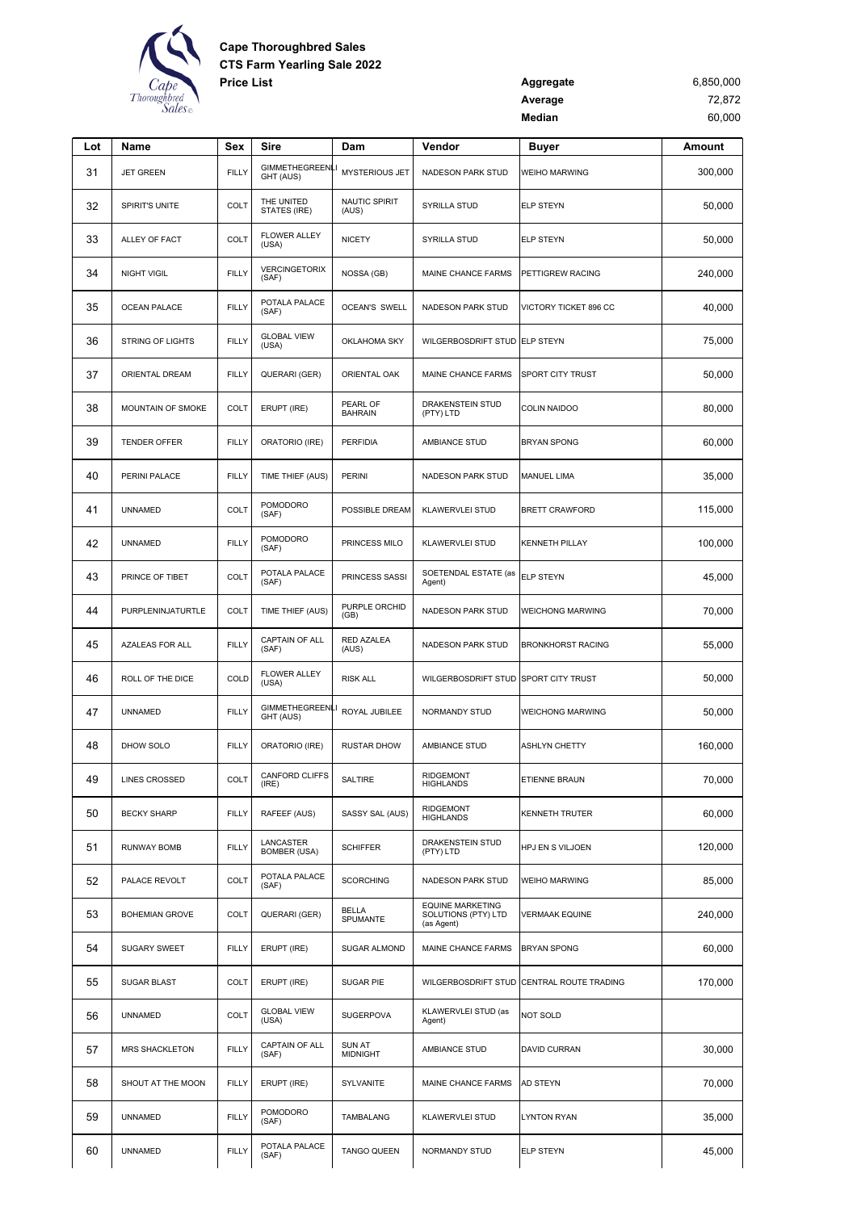

| <b>Price List</b> | Aggregate | 6,850,000 |
|-------------------|-----------|-----------|
|                   | Average   | 72.872    |
|                   | Median    | 60.000    |

| Lot | Name                    | Sex          | Sire                                | Dam                              | Vendor                                                       | <b>Buyer</b>                              | Amount  |
|-----|-------------------------|--------------|-------------------------------------|----------------------------------|--------------------------------------------------------------|-------------------------------------------|---------|
| 31  | <b>JET GREEN</b>        | <b>FILLY</b> | <b>GIMMETHEGREEN</b><br>GHT (AUS)   | <b>MYSTERIOUS JET</b>            | NADESON PARK STUD                                            | <b>WEIHO MARWING</b>                      | 300,000 |
| 32  | SPIRIT'S UNITE          | <b>COLT</b>  | THE UNITED<br>STATES (IRE)          | NAUTIC SPIRIT<br>(AUS)           | SYRILLA STUD                                                 | <b>ELP STEYN</b>                          | 50,000  |
| 33  | ALLEY OF FACT           | COLT         | <b>FLOWER ALLEY</b><br>(USA)        | <b>NICETY</b>                    | SYRILLA STUD                                                 | <b>ELP STEYN</b>                          | 50,000  |
| 34  | <b>NIGHT VIGIL</b>      | <b>FILLY</b> | VERCINGETORIX<br>(SAF)              | NOSSA (GB)                       | MAINE CHANCE FARMS                                           | PETTIGREW RACING                          | 240,000 |
| 35  | <b>OCEAN PALACE</b>     | <b>FILLY</b> | POTALA PALACE<br>(SAF)              | <b>OCEAN'S SWELL</b>             | <b>NADESON PARK STUD</b>                                     | VICTORY TICKET 896 CC                     | 40,000  |
| 36  | <b>STRING OF LIGHTS</b> | <b>FILLY</b> | <b>GLOBAL VIEW</b><br>(USA)         | <b>OKLAHOMA SKY</b>              | WILGERBOSDRIFT STUD ELP STEYN                                |                                           | 75,000  |
| 37  | ORIENTAL DREAM          | <b>FILLY</b> | QUERARI (GER)                       | ORIENTAL OAK                     | MAINE CHANCE FARMS                                           | SPORT CITY TRUST                          | 50,000  |
| 38  | MOUNTAIN OF SMOKE       | <b>COLT</b>  | ERUPT (IRE)                         | PEARL OF<br><b>BAHRAIN</b>       | DRAKENSTEIN STUD<br>(PTY) LTD                                | <b>COLIN NAIDOO</b>                       | 80,000  |
| 39  | <b>TENDER OFFER</b>     | <b>FILLY</b> | ORATORIO (IRE)                      | <b>PERFIDIA</b>                  | AMBIANCE STUD                                                | <b>BRYAN SPONG</b>                        | 60,000  |
| 40  | PERINI PALACE           | <b>FILLY</b> | TIME THIEF (AUS)                    | <b>PERINI</b>                    | NADESON PARK STUD                                            | <b>MANUEL LIMA</b>                        | 35,000  |
| 41  | <b>UNNAMED</b>          | <b>COLT</b>  | <b>POMODORO</b><br>(SAF)            | POSSIBLE DREAM                   | <b>KLAWERVLEI STUD</b>                                       | <b>BRETT CRAWFORD</b>                     | 115,000 |
| 42  | <b>UNNAMED</b>          | <b>FILLY</b> | <b>POMODORO</b><br>(SAF)            | PRINCESS MILO                    | <b>KLAWERVLEI STUD</b>                                       | <b>KENNETH PILLAY</b>                     | 100,000 |
| 43  | PRINCE OF TIBET         | <b>COLT</b>  | POTALA PALACE<br>(SAF)              | PRINCESS SASSI                   | SOETENDAL ESTATE (as<br>Agent)                               | <b>ELP STEYN</b>                          | 45,000  |
| 44  | PURPLENINJATURTLE       | <b>COLT</b>  | TIME THIEF (AUS)                    | PURPLE ORCHID<br>(GB)            | NADESON PARK STUD                                            | <b>WEICHONG MARWING</b>                   | 70,000  |
| 45  | AZALEAS FOR ALL         | <b>FILLY</b> | CAPTAIN OF ALL<br>(SAF)             | RED AZALEA<br>(AUS)              | NADESON PARK STUD                                            | <b>BRONKHORST RACING</b>                  | 55,000  |
| 46  | ROLL OF THE DICE        | COLD         | <b>FLOWER ALLEY</b><br>(USA)        | <b>RISK ALL</b>                  | WILGERBOSDRIFT STUD SPORT CITY TRUST                         |                                           | 50,000  |
| 47  | <b>UNNAMED</b>          | <b>FILLY</b> | <b>GIMMETHEGREENLI</b><br>GHT (AUS) | ROYAL JUBILEE                    | NORMANDY STUD                                                | <b>WEICHONG MARWING</b>                   | 50,000  |
| 48  | DHOW SOLO               | <b>FILLY</b> | ORATORIO (IRE)                      | <b>RUSTAR DHOW</b>               | AMBIANCE STUD                                                | ASHLYN CHETTY                             | 160,000 |
| 49  | <b>LINES CROSSED</b>    | COLT         | <b>CANFORD CLIFFS</b><br>(IRE)      | <b>SALTIRE</b>                   | <b>RIDGEMONT</b><br>HIGHLANDS                                | ETIENNE BRAUN                             | 70,000  |
| 50  | <b>BECKY SHARP</b>      | <b>FILLY</b> | RAFEEF (AUS)                        | SASSY SAL (AUS)                  | <b>RIDGEMONT</b><br><b>HIGHLANDS</b>                         | <b>KENNETH TRUTER</b>                     | 60,000  |
| 51  | <b>RUNWAY BOMB</b>      | <b>FILLY</b> | LANCASTER<br><b>BOMBER (USA)</b>    | <b>SCHIFFER</b>                  | DRAKENSTEIN STUD<br>(PTY) LTD                                | HPJ EN S VILJOEN                          | 120,000 |
| 52  | PALACE REVOLT           | <b>COLT</b>  | POTALA PALACE<br>(SAF)              | <b>SCORCHING</b>                 | NADESON PARK STUD                                            | <b>WEIHO MARWING</b>                      | 85,000  |
| 53  | <b>BOHEMIAN GROVE</b>   | <b>COLT</b>  | QUERARI (GER)                       | <b>BELLA</b><br>SPUMANTE         | <b>EQUINE MARKETING</b><br>SOLUTIONS (PTY) LTD<br>(as Agent) | <b>VERMAAK EQUINE</b>                     | 240,000 |
| 54  | <b>SUGARY SWEET</b>     | <b>FILLY</b> | ERUPT (IRE)                         | <b>SUGAR ALMOND</b>              | MAINE CHANCE FARMS                                           | <b>BRYAN SPONG</b>                        | 60,000  |
| 55  | <b>SUGAR BLAST</b>      | COLT         | ERUPT (IRE)                         | SUGAR PIE                        |                                                              | WILGERBOSDRIFT STUD CENTRAL ROUTE TRADING | 170,000 |
| 56  | <b>UNNAMED</b>          | COLT         | <b>GLOBAL VIEW</b><br>(USA)         | <b>SUGERPOVA</b>                 | KLAWERVLEI STUD (as<br>Agent)                                | <b>NOT SOLD</b>                           |         |
| 57  | MRS SHACKLETON          | <b>FILLY</b> | <b>CAPTAIN OF ALL</b><br>(SAF)      | <b>SUN AT</b><br><b>MIDNIGHT</b> | AMBIANCE STUD                                                | <b>DAVID CURRAN</b>                       | 30,000  |
| 58  | SHOUT AT THE MOON       | <b>FILLY</b> | ERUPT (IRE)                         | SYLVANITE                        | MAINE CHANCE FARMS                                           | AD STEYN                                  | 70,000  |
| 59  | <b>UNNAMED</b>          | <b>FILLY</b> | POMODORO<br>(SAF)                   | TAMBALANG                        | KLAWERVLEI STUD                                              | <b>LYNTON RYAN</b>                        | 35,000  |
| 60  | <b>UNNAMED</b>          | <b>FILLY</b> | POTALA PALACE<br>(SAF)              | <b>TANGO QUEEN</b>               | NORMANDY STUD                                                | <b>ELP STEYN</b>                          | 45,000  |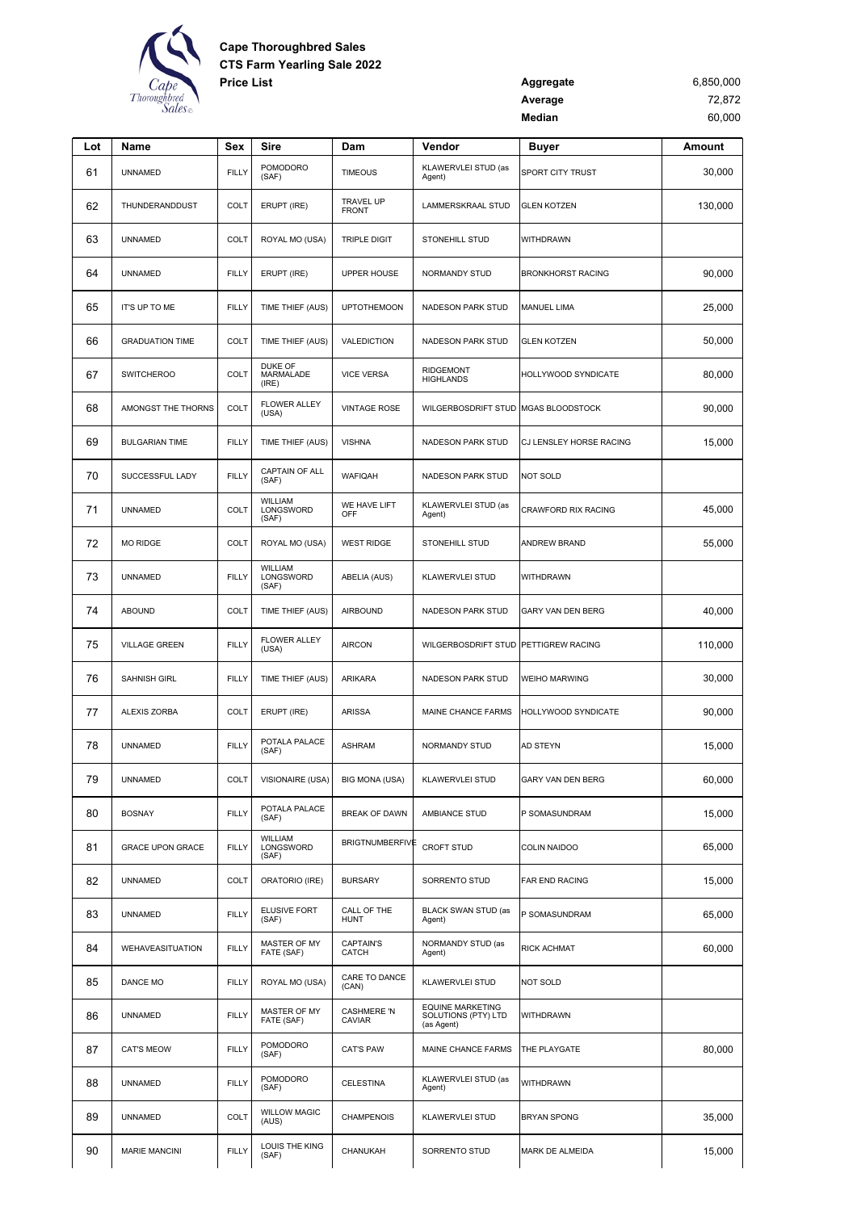

| <b>Price List</b> | Aggregate | 6,850,000 |
|-------------------|-----------|-----------|
|                   | Average   | 72,872    |
|                   | Median    | 60,000    |

| Lot | Name                    | <b>Sex</b>   | Sire                          | Dam                          | Vendor                                                       | <b>Buyer</b>             | Amount  |
|-----|-------------------------|--------------|-------------------------------|------------------------------|--------------------------------------------------------------|--------------------------|---------|
| 61  | <b>UNNAMED</b>          | <b>FILLY</b> | POMODORO<br>(SAF)             | <b>TIMEOUS</b>               | KLAWERVLEI STUD (as<br>Agent)                                | SPORT CITY TRUST         | 30,000  |
| 62  | THUNDERANDDUST          | <b>COLT</b>  | ERUPT (IRE)                   | TRAVEL UP<br><b>FRONT</b>    | LAMMERSKRAAL STUD                                            | <b>GLEN KOTZEN</b>       | 130,000 |
| 63  | <b>UNNAMED</b>          | COLT         | ROYAL MO (USA)                | <b>TRIPLE DIGIT</b>          | STONEHILL STUD                                               | WITHDRAWN                |         |
| 64  | <b>UNNAMED</b>          | <b>FILLY</b> | ERUPT (IRE)                   | <b>UPPER HOUSE</b>           | NORMANDY STUD                                                | <b>BRONKHORST RACING</b> | 90,000  |
| 65  | IT'S UP TO ME           | <b>FILLY</b> | TIME THIEF (AUS)              | <b>UPTOTHEMOON</b>           | NADESON PARK STUD                                            | <b>MANUEL LIMA</b>       | 25,000  |
| 66  | <b>GRADUATION TIME</b>  | <b>COLT</b>  | TIME THIEF (AUS)              | VALEDICTION                  | <b>NADESON PARK STUD</b>                                     | <b>GLEN KOTZEN</b>       | 50,000  |
| 67  | <b>SWITCHEROO</b>       | COLT         | DUKE OF<br>MARMALADE<br>(IRE) | <b>VICE VERSA</b>            | <b>RIDGEMONT</b><br><b>HIGHLANDS</b>                         | HOLLYWOOD SYNDICATE      | 80,000  |
| 68  | AMONGST THE THORNS      | COLT         | <b>FLOWER ALLEY</b><br>(USA)  | <b>VINTAGE ROSE</b>          | WILGERBOSDRIFT STUD                                          | <b>MGAS BLOODSTOCK</b>   | 90,000  |
| 69  | <b>BULGARIAN TIME</b>   | <b>FILLY</b> | TIME THIEF (AUS)              | <b>VISHNA</b>                | NADESON PARK STUD                                            | CJ LENSLEY HORSE RACING  | 15,000  |
| 70  | SUCCESSFUL LADY         | <b>FILLY</b> | CAPTAIN OF ALL<br>(SAF)       | WAFIQAH                      | <b>NADESON PARK STUD</b>                                     | <b>NOT SOLD</b>          |         |
| 71  | <b>UNNAMED</b>          | COLT         | WILLIAM<br>LONGSWORD<br>(SAF) | WE HAVE LIFT<br>OFF          | KLAWERVLEI STUD (as<br>Agent)                                | CRAWFORD RIX RACING      | 45,000  |
| 72  | <b>MO RIDGE</b>         | <b>COLT</b>  | ROYAL MO (USA)                | <b>WEST RIDGE</b>            | STONEHILL STUD                                               | ANDREW BRAND             | 55,000  |
| 73  | <b>UNNAMED</b>          | <b>FILLY</b> | WILLIAM<br>LONGSWORD<br>(SAF) | ABELIA (AUS)                 | <b>KLAWERVLEI STUD</b>                                       | WITHDRAWN                |         |
| 74  | <b>ABOUND</b>           | COLT         | TIME THIEF (AUS)              | <b>AIRBOUND</b>              | NADESON PARK STUD                                            | GARY VAN DEN BERG        | 40,000  |
| 75  | <b>VILLAGE GREEN</b>    | <b>FILLY</b> | <b>FLOWER ALLEY</b><br>(USA)  | <b>AIRCON</b>                | <b>WILGERBOSDRIFT STUD</b>                                   | PETTIGREW RACING         | 110,000 |
| 76  | SAHNISH GIRL            | <b>FILLY</b> | TIME THIEF (AUS)              | <b>ARIKARA</b>               | NADESON PARK STUD                                            | <b>WEIHO MARWING</b>     | 30,000  |
| 77  | ALEXIS ZORBA            | COLT         | ERUPT (IRE)                   | <b>ARISSA</b>                | MAINE CHANCE FARMS                                           | HOLLYWOOD SYNDICATE      | 90,000  |
| 78  | <b>UNNAMED</b>          | <b>FILLY</b> | POTALA PALACE<br>(SAF)        | <b>ASHRAM</b>                | <b>NORMANDY STUD</b>                                         | <b>AD STEYN</b>          | 15,000  |
| 79  | <b>UNNAMED</b>          | COLT         | VISIONAIRE (USA)              | BIG MONA (USA)               | <b>KLAWERVLEI STUD</b>                                       | <b>GARY VAN DEN BERG</b> | 60,000  |
| 80  | <b>BOSNAY</b>           | <b>FILLY</b> | POTALA PALACE<br>(SAF)        | <b>BREAK OF DAWN</b>         | AMBIANCE STUD                                                | P SOMASUNDRAM            | 15,000  |
| 81  | <b>GRACE UPON GRACE</b> | <b>FILLY</b> | WILLIAM<br>LONGSWORD<br>(SAF) | <b>BRIGTNUMBERFIVE</b>       | <b>CROFT STUD</b>                                            | COLIN NAIDOO             | 65,000  |
| 82  | <b>UNNAMED</b>          | COLT         | ORATORIO (IRE)                | <b>BURSARY</b>               | SORRENTO STUD                                                | FAR END RACING           | 15,000  |
| 83  | <b>UNNAMED</b>          | <b>FILLY</b> | ELUSIVE FORT<br>(SAF)         | CALL OF THE<br><b>HUNT</b>   | BLACK SWAN STUD (as<br>Agent)                                | P SOMASUNDRAM            | 65,000  |
| 84  | WEHAVEASITUATION        | <b>FILLY</b> | MASTER OF MY<br>FATE (SAF)    | <b>CAPTAIN'S</b><br>CATCH    | NORMANDY STUD (as<br>Agent)                                  | <b>RICK ACHMAT</b>       | 60,000  |
| 85  | DANCE MO                | <b>FILLY</b> | ROYAL MO (USA)                | CARE TO DANCE<br>(CAN)       | KLAWERVLEI STUD                                              | <b>NOT SOLD</b>          |         |
| 86  | <b>UNNAMED</b>          | <b>FILLY</b> | MASTER OF MY<br>FATE (SAF)    | <b>CASHMERE 'N</b><br>CAVIAR | <b>EQUINE MARKETING</b><br>SOLUTIONS (PTY) LTD<br>(as Agent) | WITHDRAWN                |         |
| 87  | <b>CAT'S MEOW</b>       | <b>FILLY</b> | POMODORO<br>(SAF)             | <b>CAT'S PAW</b>             | MAINE CHANCE FARMS                                           | THE PLAYGATE             | 80,000  |
| 88  | <b>UNNAMED</b>          | <b>FILLY</b> | POMODORO<br>(SAF)             | <b>CELESTINA</b>             | KLAWERVLEI STUD (as<br>Agent)                                | WITHDRAWN                |         |
| 89  | <b>UNNAMED</b>          | COLT         | <b>WILLOW MAGIC</b><br>(AUS)  | <b>CHAMPENOIS</b>            | KLAWERVLEI STUD                                              | <b>BRYAN SPONG</b>       | 35,000  |
| 90  | <b>MARIE MANCINI</b>    | <b>FILLY</b> | LOUIS THE KING<br>(SAF)       | CHANUKAH                     | SORRENTO STUD                                                | MARK DE ALMEIDA          | 15,000  |